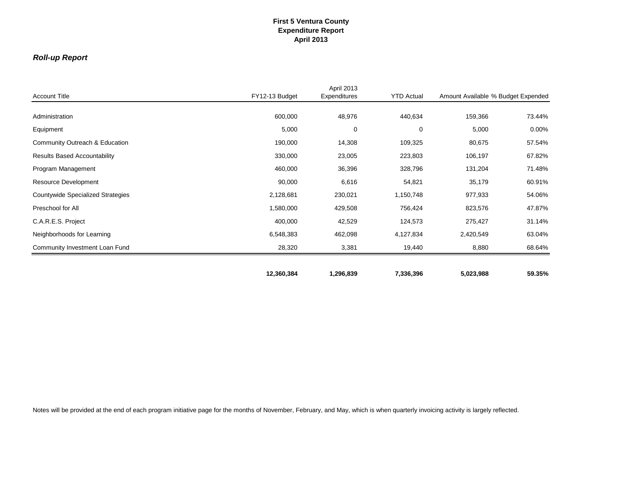### *Roll-up Report*

|                                          |                | April 2013   |                   |                                    |          |
|------------------------------------------|----------------|--------------|-------------------|------------------------------------|----------|
| <b>Account Title</b>                     | FY12-13 Budget | Expenditures | <b>YTD Actual</b> | Amount Available % Budget Expended |          |
| Administration                           | 600,000        | 48,976       | 440,634           | 159,366                            | 73.44%   |
| Equipment                                | 5,000          | 0            | 0                 | 5,000                              | $0.00\%$ |
| Community Outreach & Education           | 190,000        | 14,308       | 109,325           | 80,675                             | 57.54%   |
| <b>Results Based Accountability</b>      | 330,000        | 23,005       | 223,803           | 106,197                            | 67.82%   |
| Program Management                       | 460,000        | 36,396       | 328,796           | 131,204                            | 71.48%   |
| Resource Development                     | 90,000         | 6,616        | 54,821            | 35,179                             | 60.91%   |
| <b>Countywide Specialized Strategies</b> | 2,128,681      | 230,021      | 1,150,748         | 977,933                            | 54.06%   |
| Preschool for All                        | 1,580,000      | 429,508      | 756,424           | 823,576                            | 47.87%   |
| C.A.R.E.S. Project                       | 400,000        | 42,529       | 124,573           | 275,427                            | 31.14%   |
| Neighborhoods for Learning               | 6,548,383      | 462,098      | 4,127,834         | 2,420,549                          | 63.04%   |
| Community Investment Loan Fund           | 28,320         | 3,381        | 19,440            | 8,880                              | 68.64%   |
|                                          |                |              |                   |                                    |          |
|                                          | 12,360,384     | 1,296,839    | 7,336,396         | 5,023,988                          | 59.35%   |

Notes will be provided at the end of each program initiative page for the months of November, February, and May, which is when quarterly invoicing activity is largely reflected.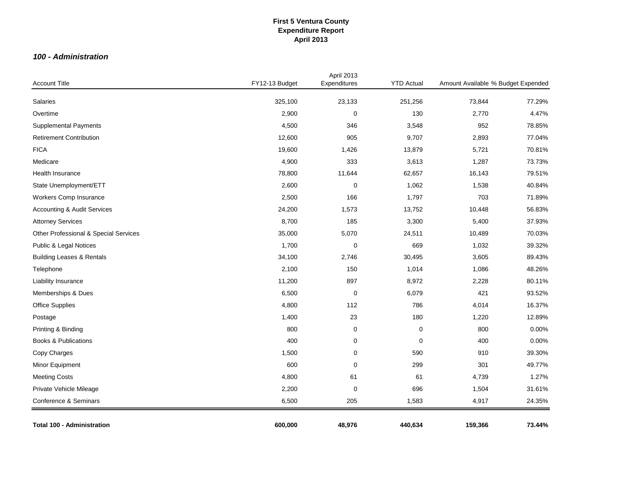#### *100 - Administration*

| <b>Account Title</b>                   | FY12-13 Budget | April 2013<br>Expenditures | <b>YTD Actual</b> | Amount Available % Budget Expended |        |
|----------------------------------------|----------------|----------------------------|-------------------|------------------------------------|--------|
| Salaries                               | 325,100        | 23,133                     | 251,256           | 73,844                             | 77.29% |
| Overtime                               | 2,900          | $\mathbf 0$                | 130               | 2,770                              | 4.47%  |
| <b>Supplemental Payments</b>           | 4,500          | 346                        | 3,548             | 952                                | 78.85% |
| <b>Retirement Contribution</b>         | 12,600         | 905                        | 9,707             | 2,893                              | 77.04% |
| <b>FICA</b>                            | 19,600         | 1,426                      | 13,879            | 5,721                              | 70.81% |
| Medicare                               | 4,900          | 333                        | 3,613             | 1,287                              | 73.73% |
| <b>Health Insurance</b>                | 78,800         | 11,644                     | 62,657            | 16,143                             | 79.51% |
| State Unemployment/ETT                 | 2,600          | $\mathbf 0$                | 1,062             | 1,538                              | 40.84% |
| Workers Comp Insurance                 | 2,500          | 166                        | 1,797             | 703                                | 71.89% |
| <b>Accounting &amp; Audit Services</b> | 24,200         | 1,573                      | 13,752            | 10,448                             | 56.83% |
| <b>Attorney Services</b>               | 8,700          | 185                        | 3,300             | 5,400                              | 37.93% |
| Other Professional & Special Services  | 35,000         | 5,070                      | 24,511            | 10,489                             | 70.03% |
| Public & Legal Notices                 | 1,700          | $\mathbf 0$                | 669               | 1,032                              | 39.32% |
| <b>Building Leases &amp; Rentals</b>   | 34,100         | 2,746                      | 30,495            | 3,605                              | 89.43% |
| Telephone                              | 2,100          | 150                        | 1,014             | 1,086                              | 48.26% |
| Liability Insurance                    | 11,200         | 897                        | 8,972             | 2,228                              | 80.11% |
| Memberships & Dues                     | 6,500          | $\mathbf 0$                | 6,079             | 421                                | 93.52% |
| <b>Office Supplies</b>                 | 4,800          | 112                        | 786               | 4,014                              | 16.37% |
| Postage                                | 1,400          | 23                         | 180               | 1,220                              | 12.89% |
| Printing & Binding                     | 800            | 0                          | $\pmb{0}$         | 800                                | 0.00%  |
| <b>Books &amp; Publications</b>        | 400            | 0                          | 0                 | 400                                | 0.00%  |
| Copy Charges                           | 1,500          | $\mathbf 0$                | 590               | 910                                | 39.30% |
| Minor Equipment                        | 600            | 0                          | 299               | 301                                | 49.77% |
| <b>Meeting Costs</b>                   | 4,800          | 61                         | 61                | 4,739                              | 1.27%  |
| Private Vehicle Mileage                | 2,200          | $\mathbf 0$                | 696               | 1,504                              | 31.61% |
| Conference & Seminars                  | 6,500          | 205                        | 1,583             | 4,917                              | 24.35% |
| <b>Total 100 - Administration</b>      | 600,000        | 48,976                     | 440,634           | 159,366                            | 73.44% |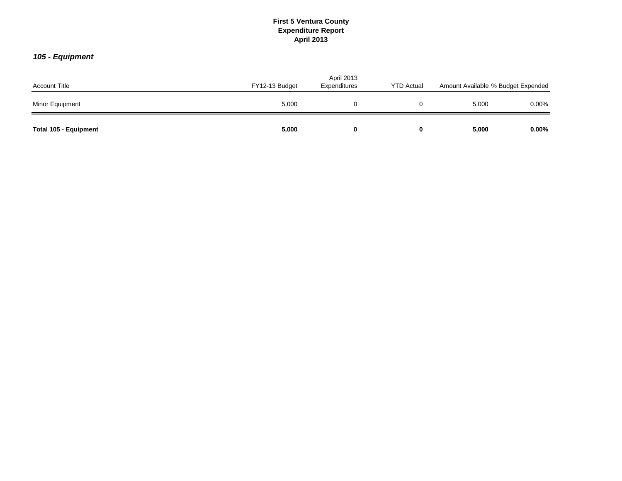# *105 - Equipment*

| <b>Account Title</b>         | FY12-13 Budget | April 2013<br>Expenditures | <b>YTD Actual</b> | Amount Available % Budget Expended |          |
|------------------------------|----------------|----------------------------|-------------------|------------------------------------|----------|
| Minor Equipment              | 5,000          |                            |                   | 5,000                              | $0.00\%$ |
| <b>Total 105 - Equipment</b> | 5,000          | 0                          |                   | 5,000                              | $0.00\%$ |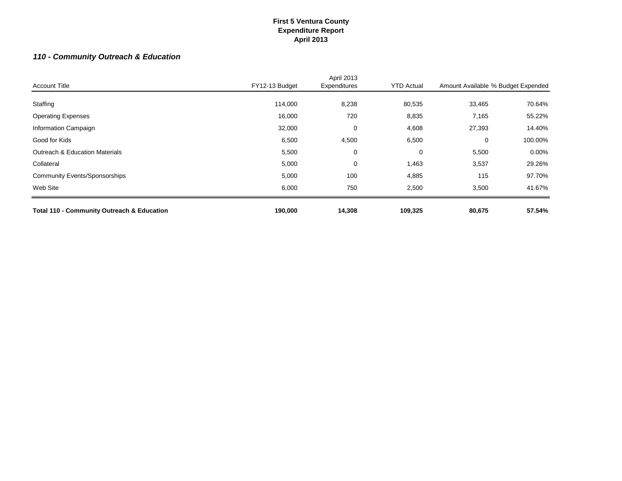# *110 - Community Outreach & Education*

| <b>Total 110 - Community Outreach &amp; Education</b> | 190,000        | 14,308                     | 109,325           | 80,675                             | 57.54%   |
|-------------------------------------------------------|----------------|----------------------------|-------------------|------------------------------------|----------|
| Web Site                                              | 6,000          | 750                        | 2,500             | 3,500                              | 41.67%   |
| <b>Community Events/Sponsorships</b>                  | 5,000          | 100                        | 4,885             | 115                                | 97.70%   |
| Collateral                                            | 5,000          | 0                          | 1,463             | 3,537                              | 29.26%   |
| <b>Outreach &amp; Education Materials</b>             | 5,500          | 0                          | 0                 | 5,500                              | $0.00\%$ |
| Good for Kids                                         | 6,500          | 4,500                      | 6,500             | $\Omega$                           | 100.00%  |
| Information Campaign                                  | 32,000         | 0                          | 4,608             | 27,393                             | 14.40%   |
| <b>Operating Expenses</b>                             | 16,000         | 720                        | 8,835             | 7,165                              | 55.22%   |
| Staffing                                              | 114,000        | 8,238                      | 80,535            | 33,465                             | 70.64%   |
| <b>Account Title</b>                                  | FY12-13 Budget | April 2013<br>Expenditures | <b>YTD Actual</b> | Amount Available % Budget Expended |          |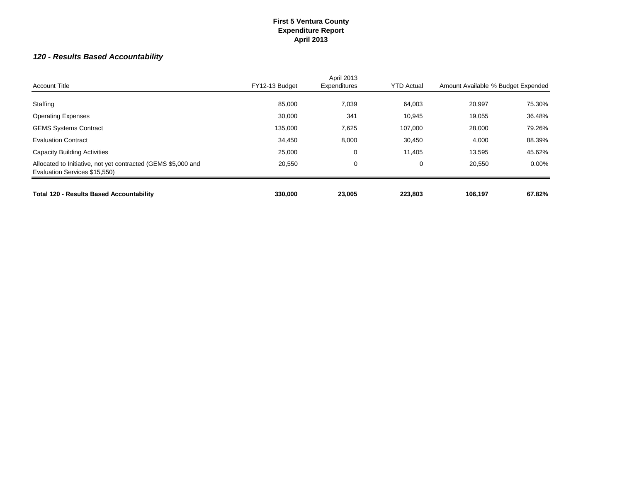# *120 - Results Based Accountability*

| <b>Account Title</b>                                                                           | FY12-13 Budget | April 2013<br>Expenditures | <b>YTD Actual</b> | Amount Available % Budget Expended |          |
|------------------------------------------------------------------------------------------------|----------------|----------------------------|-------------------|------------------------------------|----------|
|                                                                                                |                |                            |                   |                                    |          |
| Staffing                                                                                       | 85,000         | 7,039                      | 64,003            | 20,997                             | 75.30%   |
| <b>Operating Expenses</b>                                                                      | 30,000         | 341                        | 10,945            | 19,055                             | 36.48%   |
| <b>GEMS Systems Contract</b>                                                                   | 135,000        | 7,625                      | 107,000           | 28,000                             | 79.26%   |
| <b>Evaluation Contract</b>                                                                     | 34,450         | 8,000                      | 30,450            | 4,000                              | 88.39%   |
| <b>Capacity Building Activities</b>                                                            | 25,000         | 0                          | 11,405            | 13,595                             | 45.62%   |
| Allocated to Initiative, not yet contracted (GEMS \$5,000 and<br>Evaluation Services \$15,550) | 20,550         | 0                          | 0                 | 20,550                             | $0.00\%$ |
|                                                                                                |                |                            |                   |                                    |          |
| <b>Total 120 - Results Based Accountability</b>                                                | 330,000        | 23,005                     | 223,803           | 106,197                            | 67.82%   |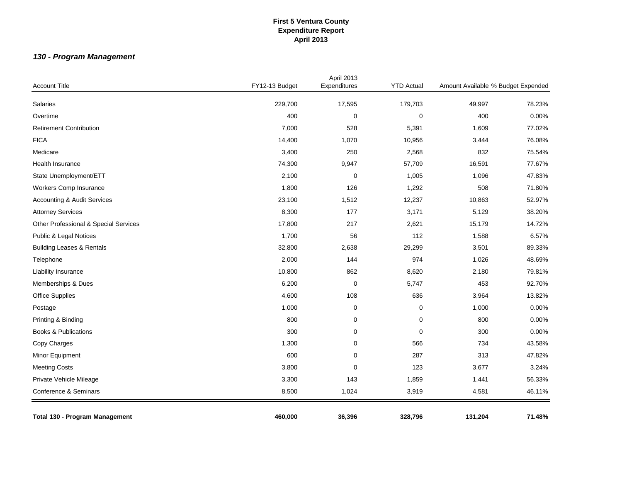# *130 - Program Management*

| <b>Account Title</b>                   | FY12-13 Budget | April 2013<br>Expenditures | <b>YTD Actual</b> | Amount Available % Budget Expended |        |
|----------------------------------------|----------------|----------------------------|-------------------|------------------------------------|--------|
| Salaries                               | 229,700        | 17,595                     | 179,703           | 49,997                             | 78.23% |
| Overtime                               | 400            | 0                          | $\pmb{0}$         | 400                                | 0.00%  |
| <b>Retirement Contribution</b>         |                | 528                        |                   | 1,609                              | 77.02% |
|                                        | 7,000          |                            | 5,391             |                                    |        |
| <b>FICA</b>                            | 14,400         | 1,070                      | 10,956            | 3,444                              | 76.08% |
| Medicare                               | 3,400          | 250                        | 2,568             | 832                                | 75.54% |
| Health Insurance                       | 74,300         | 9,947                      | 57,709            | 16,591                             | 77.67% |
| State Unemployment/ETT                 | 2,100          | $\mathbf 0$                | 1,005             | 1,096                              | 47.83% |
| Workers Comp Insurance                 | 1,800          | 126                        | 1,292             | 508                                | 71.80% |
| <b>Accounting &amp; Audit Services</b> | 23,100         | 1,512                      | 12,237            | 10,863                             | 52.97% |
| <b>Attorney Services</b>               | 8,300          | 177                        | 3,171             | 5,129                              | 38.20% |
| Other Professional & Special Services  | 17,800         | 217                        | 2,621             | 15,179                             | 14.72% |
| Public & Legal Notices                 | 1,700          | 56                         | 112               | 1,588                              | 6.57%  |
| <b>Building Leases &amp; Rentals</b>   | 32,800         | 2,638                      | 29,299            | 3,501                              | 89.33% |
| Telephone                              | 2,000          | 144                        | 974               | 1,026                              | 48.69% |
| Liability Insurance                    | 10,800         | 862                        | 8,620             | 2,180                              | 79.81% |
| Memberships & Dues                     | 6,200          | 0                          | 5,747             | 453                                | 92.70% |
| <b>Office Supplies</b>                 | 4,600          | 108                        | 636               | 3,964                              | 13.82% |
| Postage                                | 1,000          | $\mathbf 0$                | $\pmb{0}$         | 1,000                              | 0.00%  |
| Printing & Binding                     | 800            | 0                          | $\mathbf 0$       | 800                                | 0.00%  |
| <b>Books &amp; Publications</b>        | 300            | 0                          | $\mathbf 0$       | 300                                | 0.00%  |
| Copy Charges                           | 1,300          | $\pmb{0}$                  | 566               | 734                                | 43.58% |
| Minor Equipment                        | 600            | 0                          | 287               | 313                                | 47.82% |
| <b>Meeting Costs</b>                   | 3,800          | $\mathbf 0$                | 123               | 3,677                              | 3.24%  |
| Private Vehicle Mileage                | 3,300          | 143                        | 1,859             | 1,441                              | 56.33% |
| Conference & Seminars                  | 8,500          | 1,024                      | 3,919             | 4,581                              | 46.11% |
| Total 130 - Program Management         | 460,000        | 36,396                     | 328,796           | 131,204                            | 71.48% |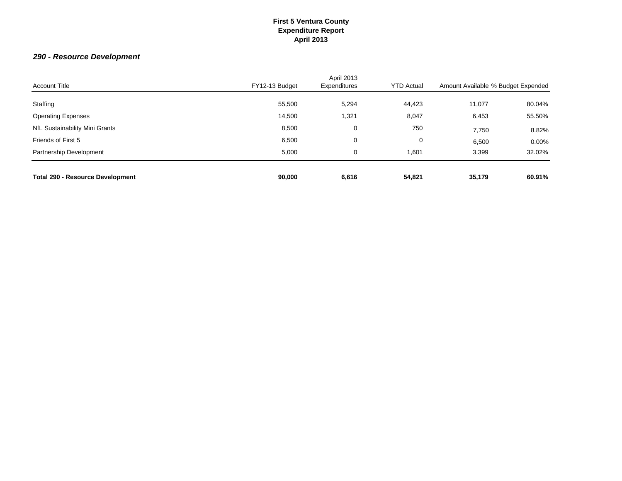# *290 - Resource Development*

| <b>Total 290 - Resource Development</b> | 90,000         | 6,616                             | 54,821            | 35,179                             | 60.91%   |
|-----------------------------------------|----------------|-----------------------------------|-------------------|------------------------------------|----------|
| Partnership Development                 | 5.000          | 0                                 | 1,601             | 3,399                              | 32.02%   |
| Friends of First 5                      | 6,500          | 0                                 | 0                 | 6,500                              | $0.00\%$ |
| NfL Sustainability Mini Grants          | 8,500          | 0                                 | 750               | 7,750                              | 8.82%    |
| <b>Operating Expenses</b>               | 14,500         | 1,321                             | 8,047             | 6,453                              | 55.50%   |
| Staffing                                | 55,500         | 5,294                             | 44,423            | 11,077                             | 80.04%   |
| <b>Account Title</b>                    | FY12-13 Budget | <b>April 2013</b><br>Expenditures | <b>YTD Actual</b> | Amount Available % Budget Expended |          |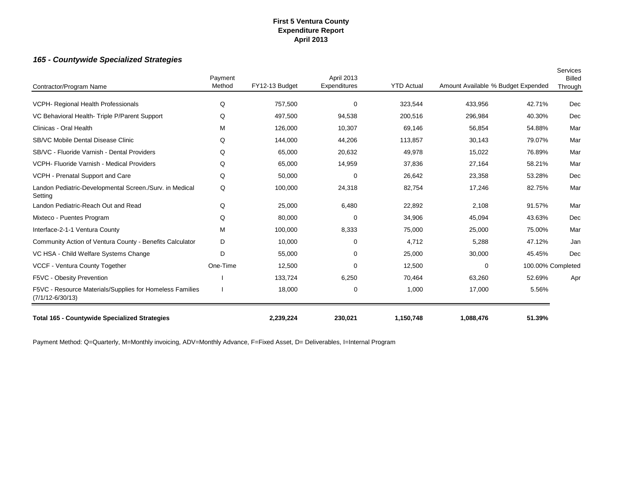### *165 - Countywide Specialized Strategies*

| Contractor/Program Name                                                          | Payment<br>Method | FY12-13 Budget | April 2013<br>Expenditures | <b>YTD Actual</b> | Amount Available % Budget Expended |                   | Services<br><b>Billed</b><br>Through |
|----------------------------------------------------------------------------------|-------------------|----------------|----------------------------|-------------------|------------------------------------|-------------------|--------------------------------------|
| VCPH- Regional Health Professionals                                              | Q                 | 757,500        | $\mathbf 0$                | 323,544           | 433,956                            | 42.71%            | Dec                                  |
| VC Behavioral Health- Triple P/Parent Support                                    | Q                 | 497,500        | 94,538                     | 200,516           | 296,984                            | 40.30%            | Dec                                  |
| Clinicas - Oral Health                                                           | M                 | 126,000        | 10,307                     | 69,146            | 56,854                             | 54.88%            | Mar                                  |
| SB/VC Mobile Dental Disease Clinic                                               | Q                 | 144,000        | 44,206                     | 113,857           | 30,143                             | 79.07%            | Mar                                  |
| SB/VC - Fluoride Varnish - Dental Providers                                      | Q                 | 65,000         | 20,632                     | 49,978            | 15,022                             | 76.89%            | Mar                                  |
| VCPH- Fluoride Varnish - Medical Providers                                       | Q                 | 65,000         | 14,959                     | 37,836            | 27,164                             | 58.21%            | Mar                                  |
| VCPH - Prenatal Support and Care                                                 | Q                 | 50,000         | $\mathbf 0$                | 26,642            | 23,358                             | 53.28%            | Dec                                  |
| Landon Pediatric-Developmental Screen./Surv. in Medical<br>Setting               | Q                 | 100,000        | 24,318                     | 82,754            | 17,246                             | 82.75%            | Mar                                  |
| Landon Pediatric-Reach Out and Read                                              | Q                 | 25,000         | 6,480                      | 22,892            | 2,108                              | 91.57%            | Mar                                  |
| Mixteco - Puentes Program                                                        | Q                 | 80,000         | 0                          | 34,906            | 45,094                             | 43.63%            | Dec                                  |
| Interface-2-1-1 Ventura County                                                   | M                 | 100,000        | 8,333                      | 75,000            | 25,000                             | 75.00%            | Mar                                  |
| Community Action of Ventura County - Benefits Calculator                         | D                 | 10,000         | $\mathbf 0$                | 4,712             | 5,288                              | 47.12%            | Jan                                  |
| VC HSA - Child Welfare Systems Change                                            | D                 | 55,000         | $\mathbf 0$                | 25,000            | 30,000                             | 45.45%            | Dec                                  |
| VCCF - Ventura County Together                                                   | One-Time          | 12,500         | $\mathbf 0$                | 12,500            | 0                                  | 100.00% Completed |                                      |
| F5VC - Obesity Prevention                                                        |                   | 133,724        | 6,250                      | 70,464            | 63,260                             | 52.69%            | Apr                                  |
| F5VC - Resource Materials/Supplies for Homeless Families<br>$(7/1/12 - 6/30/13)$ |                   | 18,000         | 0                          | 1,000             | 17,000                             | 5.56%             |                                      |
| <b>Total 165 - Countywide Specialized Strategies</b>                             |                   | 2,239,224      | 230,021                    | 1,150,748         | 1,088,476                          | 51.39%            |                                      |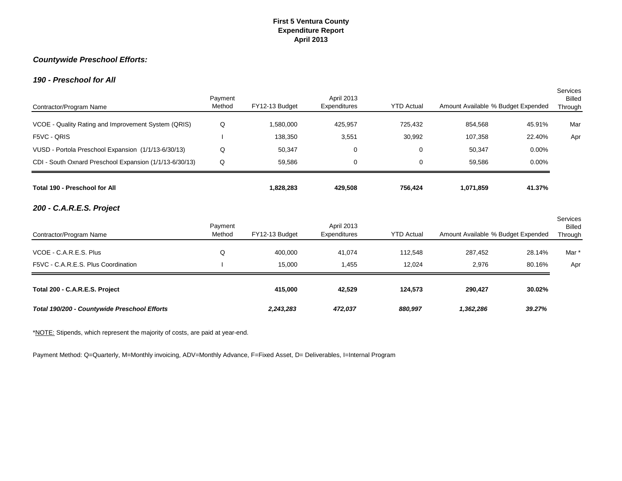### *Countywide Preschool Efforts:*

### *190 - Preschool for All*

| Contractor/Program Name                                 | Payment<br>Method | FY12-13 Budget | April 2013<br>Expenditures | <b>YTD Actual</b> | Amount Available % Budget Expended |        | <b>Services</b><br><b>Billed</b><br>Through |
|---------------------------------------------------------|-------------------|----------------|----------------------------|-------------------|------------------------------------|--------|---------------------------------------------|
| VCOE - Quality Rating and Improvement System (QRIS)     | Q                 | 1,580,000      | 425,957                    | 725,432           | 854,568                            | 45.91% | Mar                                         |
| F5VC - QRIS                                             |                   | 138,350        | 3,551                      | 30,992            | 107,358                            | 22.40% | Apr                                         |
| VUSD - Portola Preschool Expansion (1/1/13-6/30/13)     | Q                 | 50,347         | 0                          | 0                 | 50,347                             | 0.00%  |                                             |
| CDI - South Oxnard Preschool Expansion (1/1/13-6/30/13) | Q                 | 59,586         | 0                          | 0                 | 59,586                             | 0.00%  |                                             |
| Total 190 - Preschool for All                           |                   | 1,828,283      | 429,508                    | 756,424           | 1,071,859                          | 41.37% |                                             |
| 200 - C.A.R.E.S. Project                                |                   |                |                            |                   |                                    |        |                                             |
| Contractor/Program Name                                 | Payment<br>Method | FY12-13 Budget | April 2013<br>Expenditures | <b>YTD Actual</b> | Amount Available % Budget Expended |        | <b>Services</b><br><b>Billed</b><br>Through |
| VCOE - C.A.R.E.S. Plus                                  | Q                 | 400,000        | 41.074                     | 112,548           | 287,452                            | 28.14% | Mar *                                       |
| F5VC - C.A.R.E.S. Plus Coordination                     |                   | 15,000         | 1,455                      | 12,024            | 2,976                              | 80.16% | Apr                                         |
| Total 200 - C.A.R.E.S. Project                          |                   | 415,000        | 42,529                     | 124,573           | 290,427                            | 30.02% |                                             |
| Total 190/200 - Countywide Preschool Efforts            |                   | 2,243,283      | 472,037                    | 880,997           | 1,362,286                          | 39.27% |                                             |

\*NOTE: Stipends, which represent the majority of costs, are paid at year-end.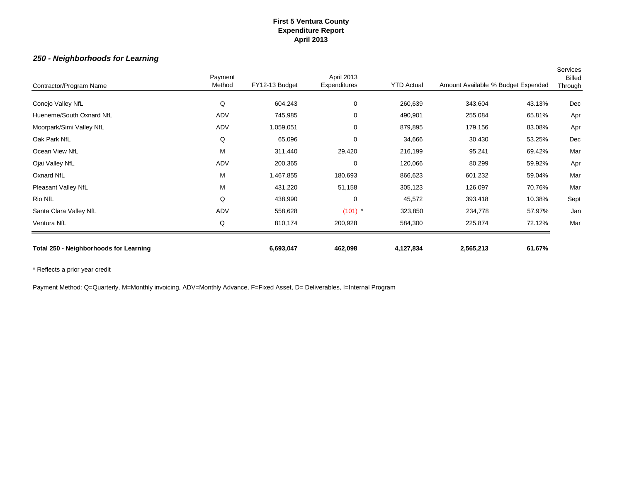### *250 - Neighborhoods for Learning*

| Contractor/Program Name                       | Payment<br>Method | FY12-13 Budget | <b>April 2013</b><br>Expenditures | <b>YTD Actual</b> | Amount Available % Budget Expended |        | Services<br><b>Billed</b><br>Through |
|-----------------------------------------------|-------------------|----------------|-----------------------------------|-------------------|------------------------------------|--------|--------------------------------------|
| Conejo Valley NfL                             | Q                 | 604,243        | 0                                 | 260,639           | 343,604                            | 43.13% | Dec                                  |
| Hueneme/South Oxnard NfL                      | ADV               | 745,985        | 0                                 | 490,901           | 255,084                            | 65.81% | Apr                                  |
| Moorpark/Simi Valley NfL                      | ADV               | 1,059,051      | 0                                 | 879,895           | 179,156                            | 83.08% | Apr                                  |
| Oak Park NfL                                  | Q                 | 65,096         | $\mathbf 0$                       | 34,666            | 30,430                             | 53.25% | Dec                                  |
| Ocean View NfL                                | M                 | 311,440        | 29,420                            | 216,199           | 95,241                             | 69.42% | Mar                                  |
| Ojai Valley NfL                               | ADV               | 200,365        | $\Omega$                          | 120,066           | 80,299                             | 59.92% | Apr                                  |
| Oxnard NfL                                    | M                 | 1,467,855      | 180,693                           | 866,623           | 601,232                            | 59.04% | Mar                                  |
| Pleasant Valley NfL                           | M                 | 431,220        | 51,158                            | 305,123           | 126,097                            | 70.76% | Mar                                  |
| Rio NfL                                       | Q                 | 438,990        | 0                                 | 45,572            | 393,418                            | 10.38% | Sept                                 |
| Santa Clara Valley NfL                        | ADV               | 558,628        | $(101)$ *                         | 323,850           | 234,778                            | 57.97% | Jan                                  |
| Ventura NfL                                   | Q                 | 810,174        | 200,928                           | 584,300           | 225,874                            | 72.12% | Mar                                  |
| <b>Total 250 - Neighborhoods for Learning</b> |                   | 6,693,047      | 462,098                           | 4,127,834         | 2,565,213                          | 61.67% |                                      |

\* Reflects a prior year credit